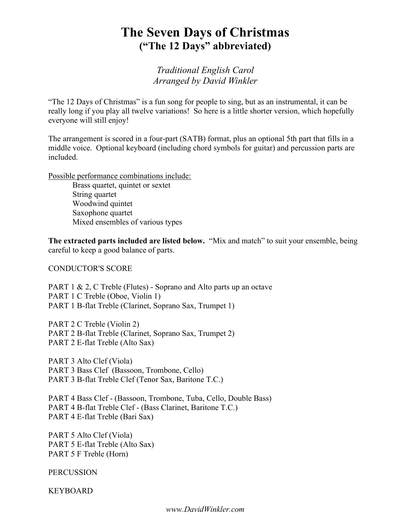## The Seven Days of Christmas ("The 12 Days" abbreviated)

Traditional English Carol Arranged by David Winkler

"The 12 Days of Christmas" is a fun song for people to sing, but as an instrumental, it can be really long if you play all twelve variations! So here is a little shorter version, which hopefully everyone will still enjoy!

The arrangement is scored in a four-part (SATB) format, plus an optional 5th part that fills in a middle voice. Optional keyboard (including chord symbols for guitar) and percussion parts are included.

Possible performance combinations include:

 Brass quartet, quintet or sextet String quartet Woodwind quintet Saxophone quartet Mixed ensembles of various types

The extracted parts included are listed below. "Mix and match" to suit your ensemble, being careful to keep a good balance of parts.

CONDUCTOR'S SCORE

PART 1 & 2, C Treble (Flutes) - Soprano and Alto parts up an octave PART 1 C Treble (Oboe, Violin 1) PART 1 B-flat Treble (Clarinet, Soprano Sax, Trumpet 1)

PART 2 C Treble (Violin 2) PART 2 B-flat Treble (Clarinet, Soprano Sax, Trumpet 2) PART 2 E-flat Treble (Alto Sax)

PART 3 Alto Clef (Viola) PART 3 Bass Clef (Bassoon, Trombone, Cello) PART 3 B-flat Treble Clef (Tenor Sax, Baritone T.C.)

PART 4 Bass Clef - (Bassoon, Trombone, Tuba, Cello, Double Bass) PART 4 B-flat Treble Clef - (Bass Clarinet, Baritone T.C.) PART 4 E-flat Treble (Bari Sax)

PART 5 Alto Clef (Viola) PART 5 E-flat Treble (Alto Sax) PART 5 F Treble (Horn)

**PERCUSSION** 

KEYBOARD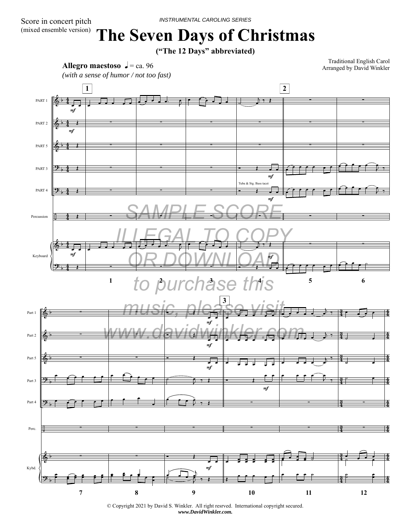## **The Seven Days of Christmas**

**("The 12 Days" abbreviated)**



Traditional English Carol Arranged by David Winkler



© Copyright 2021 by David S. Winkler. All right resrved. International copyright secured. *www.DavidWinkler.com.*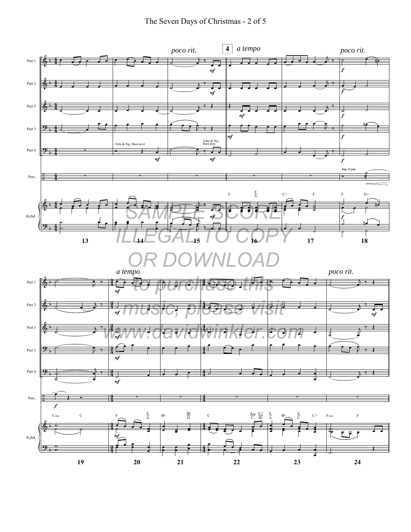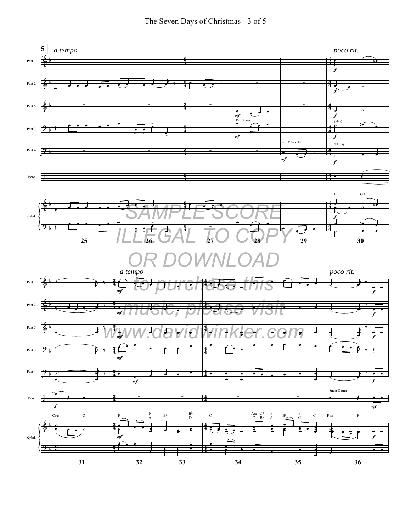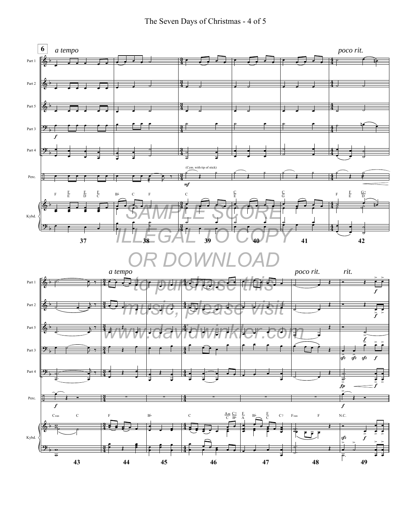The Seven Days of Christmas - 4 of 5